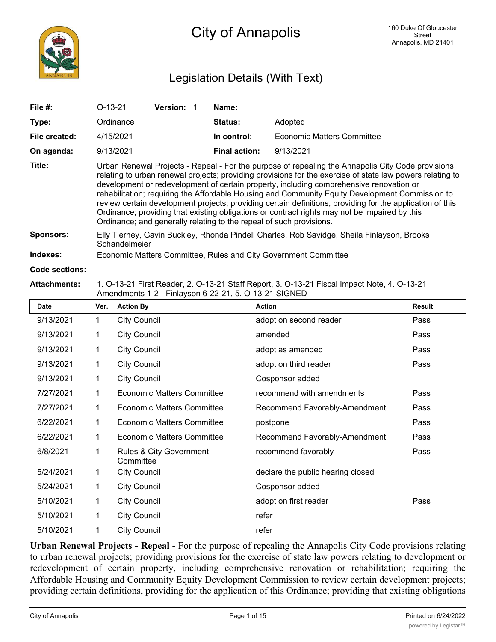

## Legislation Details (With Text)

| File $#$ :            | $O-13-21$                                                                                                                                                                                                                                                                                                                                                                                                                                                                                                                                                                                                                                                                                         | Version: 1 |  | Name:                |                            |  |
|-----------------------|---------------------------------------------------------------------------------------------------------------------------------------------------------------------------------------------------------------------------------------------------------------------------------------------------------------------------------------------------------------------------------------------------------------------------------------------------------------------------------------------------------------------------------------------------------------------------------------------------------------------------------------------------------------------------------------------------|------------|--|----------------------|----------------------------|--|
| Type:                 | Ordinance                                                                                                                                                                                                                                                                                                                                                                                                                                                                                                                                                                                                                                                                                         |            |  | <b>Status:</b>       | Adopted                    |  |
| File created:         | 4/15/2021                                                                                                                                                                                                                                                                                                                                                                                                                                                                                                                                                                                                                                                                                         |            |  | In control:          | Economic Matters Committee |  |
| On agenda:            | 9/13/2021                                                                                                                                                                                                                                                                                                                                                                                                                                                                                                                                                                                                                                                                                         |            |  | <b>Final action:</b> | 9/13/2021                  |  |
| Title:                | Urban Renewal Projects - Repeal - For the purpose of repealing the Annapolis City Code provisions<br>relating to urban renewal projects; providing provisions for the exercise of state law powers relating to<br>development or redevelopment of certain property, including comprehensive renovation or<br>rehabilitation; requiring the Affordable Housing and Community Equity Development Commission to<br>review certain development projects; providing certain definitions, providing for the application of this<br>Ordinance; providing that existing obligations or contract rights may not be impaired by this<br>Ordinance; and generally relating to the repeal of such provisions. |            |  |                      |                            |  |
| <b>Sponsors:</b>      | Elly Tierney, Gavin Buckley, Rhonda Pindell Charles, Rob Savidge, Sheila Finlayson, Brooks<br>Schandelmeier                                                                                                                                                                                                                                                                                                                                                                                                                                                                                                                                                                                       |            |  |                      |                            |  |
| Indexes:              | Economic Matters Committee, Rules and City Government Committee                                                                                                                                                                                                                                                                                                                                                                                                                                                                                                                                                                                                                                   |            |  |                      |                            |  |
| <b>Code sections:</b> |                                                                                                                                                                                                                                                                                                                                                                                                                                                                                                                                                                                                                                                                                                   |            |  |                      |                            |  |
| Attoobmonto:          | 1. $\cap$ 12.21 Eirot Booder, 2. $\cap$ 12.21 Stoff Benert, 2. $\cap$ 12.21 Eigeel Impect Note, 1. $\cap$ 12.21                                                                                                                                                                                                                                                                                                                                                                                                                                                                                                                                                                                   |            |  |                      |                            |  |

#### **Attachments:** 1. O-13-21 First Reader, 2. O-13-21 Staff Report, 3. O-13-21 Fiscal Impact Note, 4. O-13-21 Amendments 1-2 - Finlayson 6-22-21, 5. O-13-21 SIGNED

| <b>Date</b> | Ver. | <b>Action By</b>                     | <b>Action</b>                     | <b>Result</b> |
|-------------|------|--------------------------------------|-----------------------------------|---------------|
| 9/13/2021   | 1    | <b>City Council</b>                  | adopt on second reader            | Pass          |
| 9/13/2021   | 1    | <b>City Council</b>                  | amended                           | Pass          |
| 9/13/2021   | 1    | <b>City Council</b>                  | adopt as amended                  | Pass          |
| 9/13/2021   | 1    | <b>City Council</b>                  | adopt on third reader             | Pass          |
| 9/13/2021   | 1    | <b>City Council</b>                  | Cosponsor added                   |               |
| 7/27/2021   | 1    | <b>Economic Matters Committee</b>    | recommend with amendments         | Pass          |
| 7/27/2021   | 1    | <b>Economic Matters Committee</b>    | Recommend Favorably-Amendment     | Pass          |
| 6/22/2021   | 1    | <b>Economic Matters Committee</b>    | postpone                          | Pass          |
| 6/22/2021   | 1    | <b>Economic Matters Committee</b>    | Recommend Favorably-Amendment     | Pass          |
| 6/8/2021    | 1    | Rules & City Government<br>Committee | recommend favorably               | Pass          |
| 5/24/2021   | 1    | <b>City Council</b>                  | declare the public hearing closed |               |
| 5/24/2021   | 1    | <b>City Council</b>                  | Cosponsor added                   |               |
| 5/10/2021   | 1    | <b>City Council</b>                  | adopt on first reader             | Pass          |
| 5/10/2021   | 1    | <b>City Council</b>                  | refer                             |               |
| 5/10/2021   | 1    | <b>City Council</b>                  | refer                             |               |

**Urban Renewal Projects - Repeal -** For the purpose of repealing the Annapolis City Code provisions relating to urban renewal projects; providing provisions for the exercise of state law powers relating to development or redevelopment of certain property, including comprehensive renovation or rehabilitation; requiring the Affordable Housing and Community Equity Development Commission to review certain development projects; providing certain definitions, providing for the application of this Ordinance; providing that existing obligations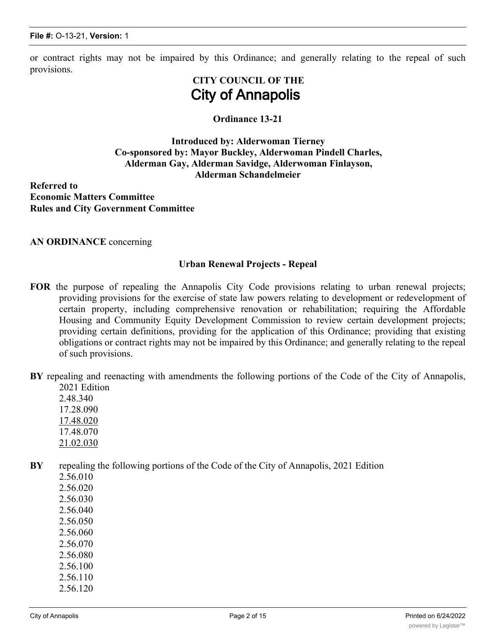or contract rights may not be impaired by this Ordinance; and generally relating to the repeal of such provisions.

# **CITY COUNCIL OF THE City of Annapolis**

### **Ordinance 13-21**

### **Introduced by: Alderwoman Tierney Co-sponsored by: Mayor Buckley, Alderwoman Pindell Charles, Alderman Gay, Alderman Savidge, Alderwoman Finlayson, Alderman Schandelmeier**

**Referred to Economic Matters Committee Rules and City Government Committee**

**AN ORDINANCE** concerning

### **Urban Renewal Projects - Repeal**

- **FOR** the purpose of repealing the Annapolis City Code provisions relating to urban renewal projects; providing provisions for the exercise of state law powers relating to development or redevelopment of certain property, including comprehensive renovation or rehabilitation; requiring the Affordable Housing and Community Equity Development Commission to review certain development projects; providing certain definitions, providing for the application of this Ordinance; providing that existing obligations or contract rights may not be impaired by this Ordinance; and generally relating to the repeal of such provisions.
- **BY** repealing and reenacting with amendments the following portions of the Code of the City of Annapolis, 2021 Edition
	- 2.48.340 17.28.090 17.48.020 17.48.070 21.02.030
- **BY** repealing the following portions of the Code of the City of Annapolis, 2021 Edition
	- 2.56.010
	- 2.56.020
	- 2.56.030
	- 2.56.040
	- 2.56.050
	- 2.56.060
	- 2.56.070
	- 2.56.080
	- 2.56.100
	- 2.56.110 2.56.120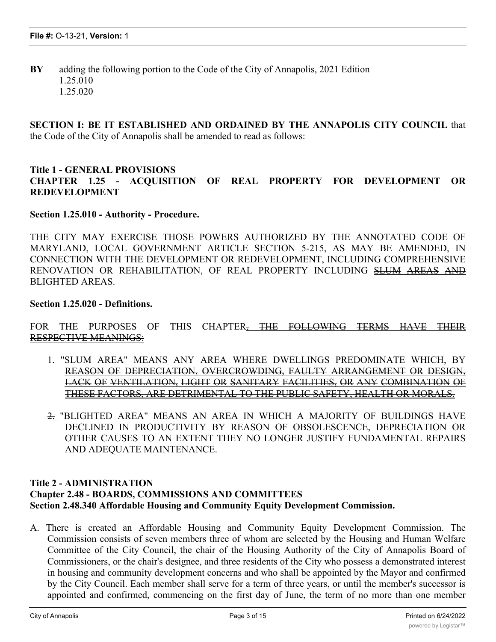**BY** adding the following portion to the Code of the City of Annapolis, 2021 Edition 1.25.010 1.25.020

**SECTION I: BE IT ESTABLISHED AND ORDAINED BY THE ANNAPOLIS CITY COUNCIL** that the Code of the City of Annapolis shall be amended to read as follows:

### **Title 1 - GENERAL PROVISIONS CHAPTER 1.25 - ACQUISITION OF REAL PROPERTY FOR DEVELOPMENT OR REDEVELOPMENT**

**Section 1.25.010 - Authority - Procedure.**

THE CITY MAY EXERCISE THOSE POWERS AUTHORIZED BY THE ANNOTATED CODE OF MARYLAND, LOCAL GOVERNMENT ARTICLE SECTION 5-215, AS MAY BE AMENDED, IN CONNECTION WITH THE DEVELOPMENT OR REDEVELOPMENT, INCLUDING COMPREHENSIVE RENOVATION OR REHABILITATION, OF REAL PROPERTY INCLUDING SLUM AREAS AND BLIGHTED AREAS.

### **Section 1.25.020 - Definitions.**

FOR THE PURPOSES OF THIS CHAPTER, THE FOLLOWING TERMS HAVE THEIR RESPECTIVE MEANINGS:

- 1. "SLUM AREA" MEANS ANY AREA WHERE DWELLINGS PREDOMINATE WHICH, BY REASON OF DEPRECIATION, OVERCROWDING, FAULTY ARRANGEMENT OR DESIGN, LACK OF VENTILATION, LIGHT OR SANITARY FACILITIES, OR ANY COMBINATION OF THESE FACTORS, ARE DETRIMENTAL TO THE PUBLIC SAFETY, HEALTH OR MORALS.
- 2. "BLIGHTED AREA" MEANS AN AREA IN WHICH A MAJORITY OF BUILDINGS HAVE DECLINED IN PRODUCTIVITY BY REASON OF OBSOLESCENCE, DEPRECIATION OR OTHER CAUSES TO AN EXTENT THEY NO LONGER JUSTIFY FUNDAMENTAL REPAIRS AND ADEQUATE MAINTENANCE.

### **Title 2 - ADMINISTRATION Chapter 2.48 - BOARDS, COMMISSIONS AND COMMITTEES Section 2.48.340 Affordable Housing and Community Equity Development Commission.**

A. There is created an Affordable Housing and Community Equity Development Commission. The Commission consists of seven members three of whom are selected by the Housing and Human Welfare Committee of the City Council, the chair of the Housing Authority of the City of Annapolis Board of Commissioners, or the chair's designee, and three residents of the City who possess a demonstrated interest in housing and community development concerns and who shall be appointed by the Mayor and confirmed by the City Council. Each member shall serve for a term of three years, or until the member's successor is appointed and confirmed, commencing on the first day of June, the term of no more than one member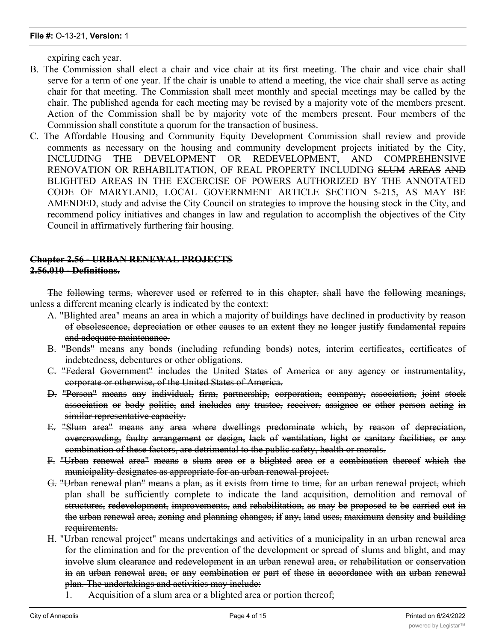expiring each year.

- B. The Commission shall elect a chair and vice chair at its first meeting. The chair and vice chair shall serve for a term of one year. If the chair is unable to attend a meeting, the vice chair shall serve as acting chair for that meeting. The Commission shall meet monthly and special meetings may be called by the chair. The published agenda for each meeting may be revised by a majority vote of the members present. Action of the Commission shall be by majority vote of the members present. Four members of the Commission shall constitute a quorum for the transaction of business.
- C. The Affordable Housing and Community Equity Development Commission shall review and provide comments as necessary on the housing and community development projects initiated by the City, INCLUDING THE DEVELOPMENT OR REDEVELOPMENT, AND COMPREHENSIVE RENOVATION OR REHABILITATION, OF REAL PROPERTY INCLUDING SLUM AREAS AND BLIGHTED AREAS IN THE EXCERCISE OF POWERS AUTHORIZED BY THE ANNOTATED CODE OF MARYLAND, LOCAL GOVERNMENT ARTICLE SECTION 5-215, AS MAY BE AMENDED, study and advise the City Council on strategies to improve the housing stock in the City, and recommend policy initiatives and changes in law and regulation to accomplish the objectives of the City Council in affirmatively furthering fair housing.

### **Chapter 2.56 - URBAN RENEWAL PROJECTS 2.56.010 - Definitions.**

The following terms, wherever used or referred to in this chapter, shall have the following meanings, unless a different meaning clearly is indicated by the context:

- A. "Blighted area" means an area in which a majority of buildings have declined in productivity by reason of obsolescence, depreciation or other causes to an extent they no longer justify fundamental repairs and adequate maintenance.
- B. "Bonds" means any bonds (including refunding bonds) notes, interim certificates, certificates of indebtedness, debentures or other obligations.
- C. "Federal Government" includes the United States of America or any agency or instrumentality, corporate or otherwise, of the United States of America.
- D. "Person" means any individual, firm, partnership, corporation, company, association, joint stock association or body politic, and includes any trustee, receiver, assignee or other person acting in similar representative capacity.
- E. "Slum area" means any area where dwellings predominate which, by reason of depreciation, overcrowding, faulty arrangement or design, lack of ventilation, light or sanitary facilities, or any combination of these factors, are detrimental to the public safety, health or morals.
- F. "Urban renewal area" means a slum area or a blighted area or a combination thereof which the municipality designates as appropriate for an urban renewal project.
- G. "Urban renewal plan" means a plan, as it exists from time to time, for an urban renewal project, which plan shall be sufficiently complete to indicate the land acquisition, demolition and removal of structures, redevelopment, improvements, and rehabilitation, as may be proposed to be carried out in the urban renewal area, zoning and planning changes, if any, land uses, maximum density and building requirements.
- H. "Urban renewal project" means undertakings and activities of a municipality in an urban renewal area for the elimination and for the prevention of the development or spread of slums and blight, and may involve slum clearance and redevelopment in an urban renewal area, or rehabilitation or conservation in an urban renewal area, or any combination or part of these in accordance with an urban renewal plan. The undertakings and activities may include:
	- 1. Acquisition of a slum area or a blighted area or portion thereof;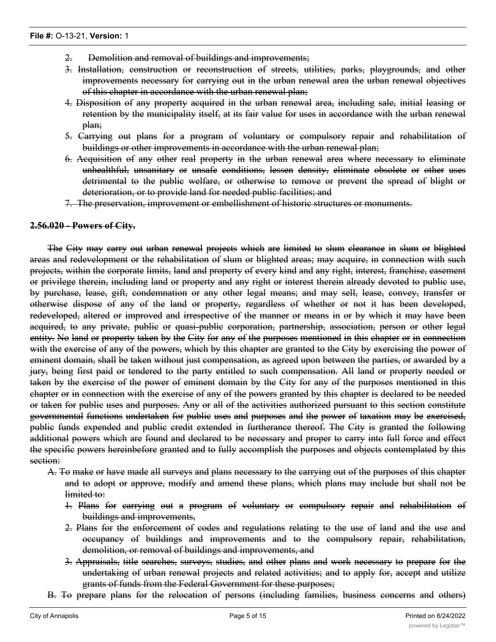- 2. Demolition and removal of buildings and improvements;
- 3. Installation, construction or reconstruction of streets, utilities, parks, playgrounds, and other improvements necessary for carrying out in the urban renewal area the urban renewal objectives of this chapter in accordance with the urban renewal plan;
- 4. Disposition of any property acquired in the urban renewal area, including sale, initial leasing or retention by the municipality itself, at its fair value for uses in accordance with the urban renewal plan;
- 5. Carrying out plans for a program of voluntary or compulsory repair and rehabilitation of buildings or other improvements in accordance with the urban renewal plan;
- 6. Acquisition of any other real property in the urban renewal area where necessary to eliminate unhealthful, unsanitary or unsafe conditions, lessen density, eliminate obsolete or other uses detrimental to the public welfare, or otherwise to remove or prevent the spread of blight or deterioration, or to provide land for needed public facilities; and
- 7. The preservation, improvement or embellishment of historic structures or monuments.

### **2.56.020 - Powers of City.**

The City may carry out urban renewal projects which are limited to slum clearance in slum or blighted areas and redevelopment or the rehabilitation of slum or blighted areas; may acquire, in connection with such projects, within the corporate limits, land and property of every kind and any right, interest, franchise, easement or privilege therein, including land or property and any right or interest therein already devoted to public use, by purchase, lease, gift, condemnation or any other legal means; and may sell, lease, convey, transfer or otherwise dispose of any of the land or property, regardless of whether or not it has been developed, redeveloped, altered or improved and irrespective of the manner or means in or by which it may have been acquired, to any private, public or quasi-public corporation, partnership, association, person or other legal entity. No land or property taken by the City for any of the purposes mentioned in this chapter or in connection with the exercise of any of the powers, which by this chapter are granted to the City by exercising the power of eminent domain, shall be taken without just compensation, as agreed upon between the parties, or awarded by a jury, being first paid or tendered to the party entitled to such compensation. All land or property needed or taken by the exercise of the power of eminent domain by the City for any of the purposes mentioned in this chapter or in connection with the exercise of any of the powers granted by this chapter is declared to be needed or taken for public uses and purposes. Any or all of the activities authorized pursuant to this section constitute governmental functions undertaken for public uses and purposes and the power of taxation may be exercised, public funds expended and public credit extended in furtherance thereof. The City is granted the following additional powers which are found and declared to be necessary and proper to carry into full force and effect the specific powers hereinbefore granted and to fully accomplish the purposes and objects contemplated by this section:

- A. To make or have made all surveys and plans necessary to the carrying out of the purposes of this chapter and to adopt or approve, modify and amend these plans, which plans may include but shall not be limited to:
	- 1. Plans for carrying out a program of voluntary or compulsory repair and rehabilitation of buildings and improvements,
	- 2. Plans for the enforcement of codes and regulations relating to the use of land and the use and occupancy of buildings and improvements and to the compulsory repair, rehabilitation, demolition, or removal of buildings and improvements, and
	- 3. Appraisals, title searches, surveys, studies, and other plans and work necessary to prepare for the undertaking of urban renewal projects and related activities; and to apply for, accept and utilize grants of funds from the Federal Government for these purposes;

displaced from an urban renewal area, and to make  $r$  make  $r$  to or with respect to  $\alpha$ 

B. To prepare plans for the relocation of persons (including families, business concerns and others)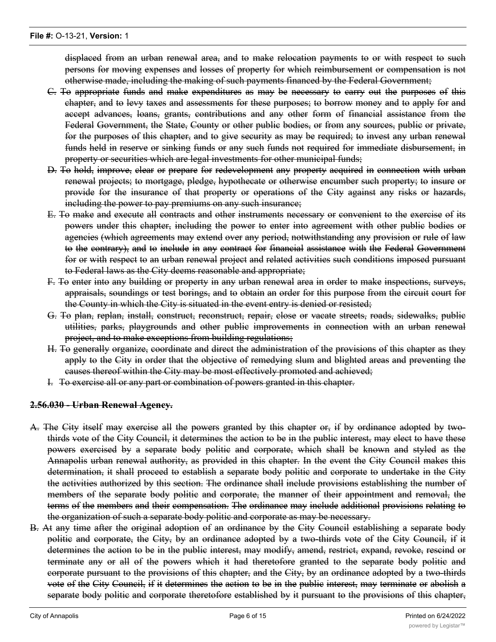displaced from an urban renewal area, and to make relocation payments to or with respect to such persons for moving expenses and losses of property for which reimbursement or compensation is not otherwise made, including the making of such payments financed by the Federal Government;

- C. To appropriate funds and make expenditures as may be necessary to carry out the purposes of this chapter, and to levy taxes and assessments for these purposes; to borrow money and to apply for and accept advances, loans, grants, contributions and any other form of financial assistance from the Federal Government, the State, County or other public bodies, or from any sources, public or private, for the purposes of this chapter, and to give security as may be required; to invest any urban renewal funds held in reserve or sinking funds or any such funds not required for immediate disbursement, in property or securities which are legal investments for other municipal funds;
- D. To hold, improve, clear or prepare for redevelopment any property acquired in connection with urban renewal projects; to mortgage, pledge, hypothecate or otherwise encumber such property; to insure or provide for the insurance of that property or operations of the City against any risks or hazards, including the power to pay premiums on any such insurance;
- E. To make and execute all contracts and other instruments necessary or convenient to the exercise of its powers under this chapter, including the power to enter into agreement with other public bodies or agencies (which agreements may extend over any period, notwithstanding any provision or rule of law to the contrary), and to include in any contract for financial assistance with the Federal Government for or with respect to an urban renewal project and related activities such conditions imposed pursuant to Federal laws as the City deems reasonable and appropriate;
- F. To enter into any building or property in any urban renewal area in order to make inspections, surveys, appraisals, soundings or test borings, and to obtain an order for this purpose from the circuit court for the County in which the City is situated in the event entry is denied or resisted;
- G. To plan, replan, install, construct, reconstruct, repair, close or vacate streets, roads, sidewalks, public utilities, parks, playgrounds and other public improvements in connection with an urban renewal project, and to make exceptions from building regulations;
- H. To generally organize, coordinate and direct the administration of the provisions of this chapter as they apply to the City in order that the objective of remedying slum and blighted areas and preventing the causes thereof within the City may be most effectively promoted and achieved;
- I. To exercise all or any part or combination of powers granted in this chapter.

### **2.56.030 - Urban Renewal Agency.**

- A. The City itself may exercise all the powers granted by this chapter or, if by ordinance adopted by twothirds vote of the City Council, it determines the action to be in the public interest, may elect to have these powers exercised by a separate body politic and corporate, which shall be known and styled as the Annapolis urban renewal authority, as provided in this chapter. In the event the City Council makes this determination, it shall proceed to establish a separate body politic and corporate to undertake in the City the activities authorized by this section. The ordinance shall include provisions establishing the number of members of the separate body politic and corporate, the manner of their appointment and removal, the terms of the members and their compensation. The ordinance may include additional provisions relating to the organization of such a separate body politic and corporate as may be necessary.
- B. At any time after the original adoption of an ordinance by the City Council establishing a separate body politic and corporate, the City, by an ordinance adopted by a two-thirds vote of the City Council, if it determines the action to be in the public interest, may modify, amend, restrict, expand, revoke, rescind or terminate any or all of the powers which it had theretofore granted to the separate body politic and corporate pursuant to the provisions of this chapter, and the City, by an ordinance adopted by a two-thirds vote of the City Council, if it determines the action to be in the public interest, may terminate or abolish a separate body politic and corporate theretofore established by it pursuant to the provisions of this chapter,

and transfer the powers granted by it to a separate body politic and corporate to any department or  $\alpha$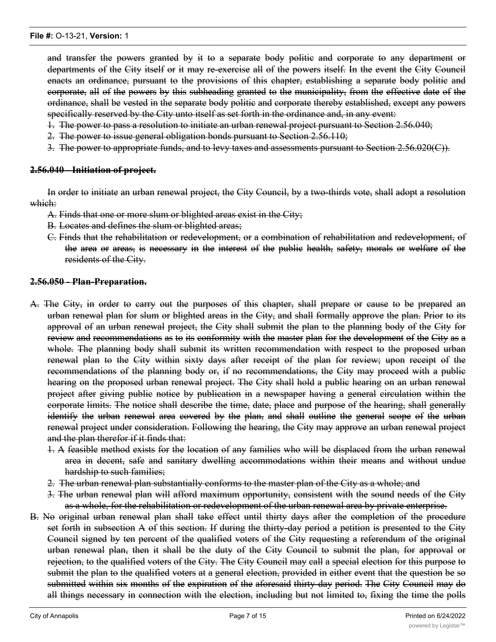and transfer the powers granted by it to a separate body politic and corporate to any department or departments of the City itself or it may re-exercise all of the powers itself. In the event the City Council enacts an ordinance, pursuant to the provisions of this chapter, establishing a separate body politic and corporate, all of the powers by this subheading granted to the municipality, from the effective date of the ordinance, shall be vested in the separate body politic and corporate thereby established, except any powers specifically reserved by the City unto itself as set forth in the ordinance and, in any event:

- 1. The power to pass a resolution to initiate an urban renewal project pursuant to Section 2.56.040;
- 2. The power to issue general obligation bonds pursuant to Section 2.56.110;
- 3. The power to appropriate funds, and to levy taxes and assessments pursuant to Section 2.56.020(C)).

#### **2.56.040 - Initiation of project.**

In order to initiate an urban renewal project, the City Council, by a two-thirds vote, shall adopt a resolution which:

- A. Finds that one or more slum or blighted areas exist in the City;
- B. Locates and defines the slum or blighted areas;
- C. Finds that the rehabilitation or redevelopment, or a combination of rehabilitation and redevelopment, of the area or areas, is necessary in the interest of the public health, safety, morals or welfare of the residents of the City.

#### **2.56.050 - Plan-Preparation.**

- A. The City, in order to carry out the purposes of this chapter, shall prepare or cause to be prepared an urban renewal plan for slum or blighted areas in the City, and shall formally approve the plan. Prior to its approval of an urban renewal project, the City shall submit the plan to the planning body of the City for review and recommendations as to its conformity with the master plan for the development of the City as a whole. The planning body shall submit its written recommendation with respect to the proposed urban renewal plan to the City within sixty days after receipt of the plan for review; upon receipt of the recommendations of the planning body or, if no recommendations, the City may proceed with a public hearing on the proposed urban renewal project. The City shall hold a public hearing on an urban renewal project after giving public notice by publication in a newspaper having a general circulation within the corporate limits. The notice shall describe the time, date, place and purpose of the hearing, shall generally identify the urban renewal area covered by the plan, and shall outline the general scope of the urban renewal project under consideration. Following the hearing, the City may approve an urban renewal project and the plan therefor if it finds that:
	- 1. A feasible method exists for the location of any families who will be displaced from the urban renewal area in decent, safe and sanitary dwelling accommodations within their means and without undue hardship to such families;
	- 2. The urban renewal plan substantially conforms to the master plan of the City as a whole; and
	- 3. The urban renewal plan will afford maximum opportunity, consistent with the sound needs of the City as a whole, for the rehabilitation or redevelopment of the urban renewal area by private enterprise.
- B. No original urban renewal plan shall take effect until thirty days after the completion of the procedure set forth in subsection A of this section. If during the thirty-day period a petition is presented to the City Council signed by ten percent of the qualified voters of the City requesting a referendum of the original urban renewal plan, then it shall be the duty of the City Council to submit the plan, for approval or rejection, to the qualified voters of the City. The City Council may call a special election for this purpose to submit the plan to the qualified voters at a general election, provided in either event that the question be so submitted within six months of the expiration of the aforesaid thirty-day period. The City Council may do all things necessary in connection with the election, including but not limited to, fixing the time the polls

shall be open, designating of  $p$  and all other things necessary or providing  $p$  and  $p$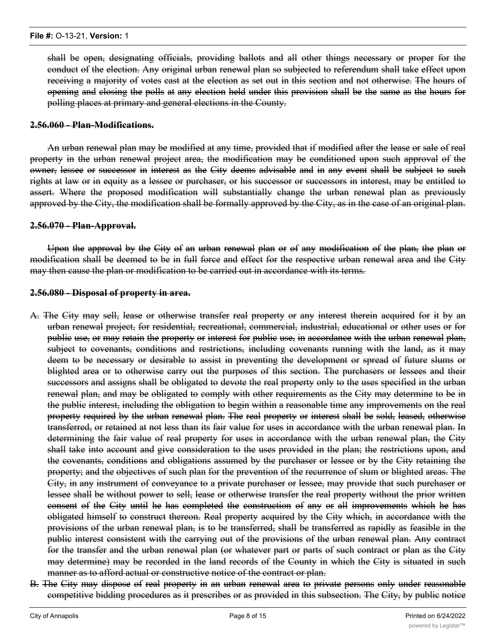shall be open, designating officials, providing ballots and all other things necessary or proper for the conduct of the election. Any original urban renewal plan so subjected to referendum shall take effect upon receiving a majority of votes cast at the election as set out in this section and not otherwise. The hours of opening and closing the polls at any election held under this provision shall be the same as the hours for polling places at primary and general elections in the County.

#### **2.56.060 - Plan-Modifications.**

An urban renewal plan may be modified at any time, provided that if modified after the lease or sale of real property in the urban renewal project area, the modification may be conditioned upon such approval of the owner, lessee or successor in interest as the City deems advisable and in any event shall be subject to such rights at law or in equity as a lessee or purchaser, or his successor or successors in interest, may be entitled to assert. Where the proposed modification will substantially change the urban renewal plan as previously approved by the City, the modification shall be formally approved by the City, as in the case of an original plan.

#### **2.56.070 - Plan-Approval.**

Upon the approval by the City of an urban renewal plan or of any modification of the plan, the plan or modification shall be deemed to be in full force and effect for the respective urban renewal area and the City may then cause the plan or modification to be carried out in accordance with its terms.

#### **2.56.080 - Disposal of property in area.**

- A. The City may sell, lease or otherwise transfer real property or any interest therein acquired for it by an urban renewal project, for residential, recreational, commercial, industrial, educational or other uses or for public use, or may retain the property or interest for public use, in accordance with the urban renewal plan, subject to covenants, conditions and restrictions, including covenants running with the land, as it may deem to be necessary or desirable to assist in preventing the development or spread of future slums or blighted area or to otherwise carry out the purposes of this section. The purchasers or lessees and their successors and assigns shall be obligated to devote the real property only to the uses specified in the urban renewal plan, and may be obligated to comply with other requirements as the City may determine to be in the public interest, including the obligation to begin within a reasonable time any improvements on the real property required by the urban renewal plan. The real property or interest shall be sold, leased, otherwise transferred, or retained at not less than its fair value for uses in accordance with the urban renewal plan. In determining the fair value of real property for uses in accordance with the urban renewal plan, the City shall take into account and give consideration to the uses provided in the plan; the restrictions upon, and the covenants, conditions and obligations assumed by the purchaser or lessee or by the City retaining the property; and the objectives of such plan for the prevention of the recurrence of slum or blighted areas. The City, in any instrument of conveyance to a private purchaser or lessee, may provide that such purchaser or lessee shall be without power to sell, lease or otherwise transfer the real property without the prior written consent of the City until he has completed the construction of any or all improvements which he has obligated himself to construct thereon. Real property acquired by the City which, in accordance with the provisions of the urban renewal plan, is to be transferred, shall be transferred as rapidly as feasible in the public interest consistent with the carrying out of the provisions of the urban renewal plan. Any contract for the transfer and the urban renewal plan (or whatever part or parts of such contract or plan as the City may determine) may be recorded in the land records of the County in which the City is situated in such manner as to afford actual or constructive notice of the contract or plan.
- B. The City may dispose of real property in an urban renewal area to private persons only under reasonable competitive bidding procedures as it prescribes or as provided in this subsection. The City, by public notice

by publication in a newspaper having a general circulation in the community (not less than sixty days prior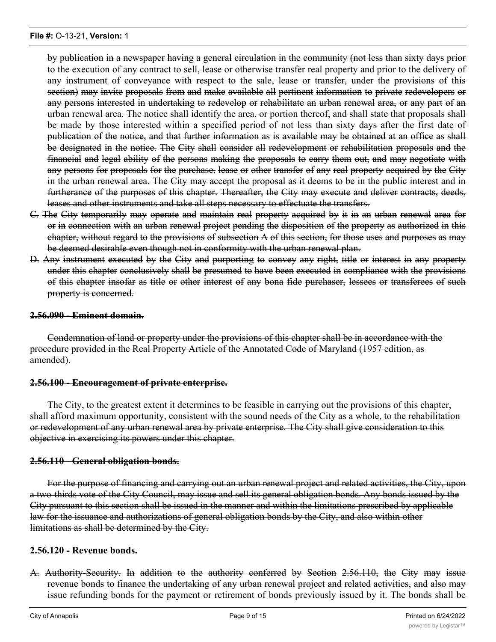by publication in a newspaper having a general circulation in the community (not less than sixty days prior to the execution of any contract to sell, lease or otherwise transfer real property and prior to the delivery of any instrument of conveyance with respect to the sale, lease or transfer, under the provisions of this section) may invite proposals from and make available all pertinent information to private redevelopers or any persons interested in undertaking to redevelop or rehabilitate an urban renewal area, or any part of an urban renewal area. The notice shall identify the area, or portion thereof, and shall state that proposals shall be made by those interested within a specified period of not less than sixty days after the first date of publication of the notice, and that further information as is available may be obtained at an office as shall be designated in the notice. The City shall consider all redevelopment or rehabilitation proposals and the financial and legal ability of the persons making the proposals to carry them out, and may negotiate with any persons for proposals for the purchase, lease or other transfer of any real property acquired by the City in the urban renewal area. The City may accept the proposal as it deems to be in the public interest and in furtherance of the purposes of this chapter. Thereafter, the City may execute and deliver contracts, deeds, leases and other instruments and take all steps necessary to effectuate the transfers.

- C. The City temporarily may operate and maintain real property acquired by it in an urban renewal area for or in connection with an urban renewal project pending the disposition of the property as authorized in this chapter, without regard to the provisions of subsection A of this section, for those uses and purposes as may be deemed desirable even though not in conformity with the urban renewal plan.
- D. Any instrument executed by the City and purporting to convey any right, title or interest in any property under this chapter conclusively shall be presumed to have been executed in compliance with the provisions of this chapter insofar as title or other interest of any bona fide purchaser, lessees or transferees of such property is concerned.

#### **2.56.090 - Eminent domain.**

Condemnation of land or property under the provisions of this chapter shall be in accordance with the procedure provided in the Real Property Article of the Annotated Code of Maryland (1957 edition, as amended).

#### **2.56.100 - Encouragement of private enterprise.**

The City, to the greatest extent it determines to be feasible in carrying out the provisions of this chapter, shall afford maximum opportunity, consistent with the sound needs of the City as a whole, to the rehabilitation or redevelopment of any urban renewal area by private enterprise. The City shall give consideration to this objective in exercising its powers under this chapter.

### **2.56.110 - General obligation bonds.**

For the purpose of financing and carrying out an urban renewal project and related activities, the City, upon a two-thirds vote of the City Council, may issue and sell its general obligation bonds. Any bonds issued by the City pursuant to this section shall be issued in the manner and within the limitations prescribed by applicable law for the issuance and authorizations of general obligation bonds by the City, and also within other limitations as shall be determined by the City.

#### **2.56.120 - Revenue bonds.**

A. Authority-Security. In addition to the authority conferred by Section 2.56.110, the City may issue revenue bonds to finance the undertaking of any urban renewal project and related activities, and also may issue refunding bonds for the payment or retirement of bonds previously issued by it. The bonds shall be

made payable, as to both principal and interest, solution the income, proceeds,  $r$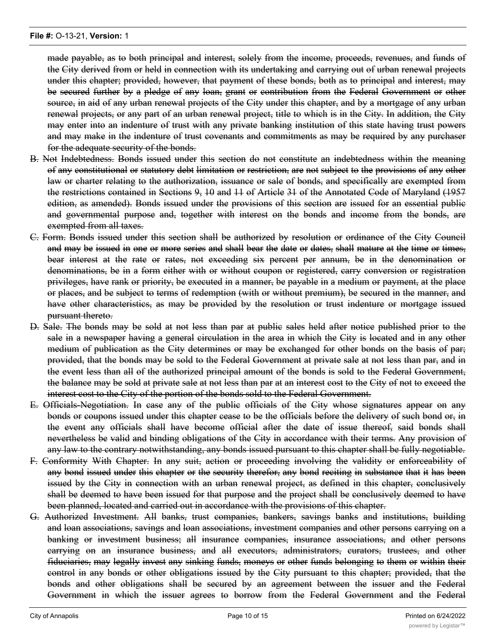made payable, as to both principal and interest, solely from the income, proceeds, revenues, and funds of the City derived from or held in connection with its undertaking and carrying out of urban renewal projects under this chapter; provided, however, that payment of these bonds, both as to principal and interest, may be secured further by a pledge of any loan, grant or contribution from the Federal Government or other source, in aid of any urban renewal projects of the City under this chapter, and by a mortgage of any urban renewal projects, or any part of an urban renewal project, title to which is in the City. In addition, the City may enter into an indenture of trust with any private banking institution of this state having trust powers and may make in the indenture of trust covenants and commitments as may be required by any purchaser for the adequate security of the bonds.

- B. Not Indebtedness. Bonds issued under this section do not constitute an indebtedness within the meaning of any constitutional or statutory debt limitation or restriction, are not subject to the provisions of any other law or charter relating to the authorization, issuance or sale of bonds, and specifically are exempted from the restrictions contained in Sections 9, 10 and 11 of Article 31 of the Annotated Code of Maryland (1957 edition, as amended). Bonds issued under the provisions of this section are issued for an essential public and governmental purpose and, together with interest on the bonds and income from the bonds, are exempted from all taxes.
- C. Form. Bonds issued under this section shall be authorized by resolution or ordinance of the City Council and may be issued in one or more series and shall bear the date or dates, shall mature at the time or times, bear interest at the rate or rates, not exceeding six percent per annum, be in the denomination or denominations, be in a form either with or without coupon or registered, carry conversion or registration privileges, have rank or priority, be executed in a manner, be payable in a medium or payment, at the place or places, and be subject to terms of redemption (with or without premium), be secured in the manner, and have other characteristics, as may be provided by the resolution or trust indenture or mortgage issued pursuant thereto.
- D. Sale. The bonds may be sold at not less than par at public sales held after notice published prior to the sale in a newspaper having a general circulation in the area in which the City is located and in any other medium of publication as the City determines or may be exchanged for other bonds on the basis of par; provided, that the bonds may be sold to the Federal Government at private sale at not less than par, and in the event less than all of the authorized principal amount of the bonds is sold to the Federal Government, the balance may be sold at private sale at not less than par at an interest cost to the City of not to exceed the interest cost to the City of the portion of the bonds sold to the Federal Government.
- E. Officials-Negotiation. In case any of the public officials of the City whose signatures appear on any bonds or coupons issued under this chapter cease to be the officials before the delivery of such bond or, in the event any officials shall have become official after the date of issue thereof, said bonds shall nevertheless be valid and binding obligations of the City in accordance with their terms. Any provision of any law to the contrary notwithstanding, any bonds issued pursuant to this chapter shall be fully negotiable.
- F. Conformity With Chapter. In any suit, action or proceeding involving the validity or enforceability of any bond issued under this chapter or the security therefor, any bond reciting in substance that it has been issued by the City in connection with an urban renewal project, as defined in this chapter, conclusively shall be deemed to have been issued for that purpose and the project shall be conclusively deemed to have been planned, located and carried out in accordance with the provisions of this chapter.
- G. Authorized Investment. All banks, trust companies, bankers, savings banks and institutions, building and loan associations, savings and loan associations, investment companies and other persons carrying on a banking or investment business; all insurance companies, insurance associations, and other persons carrying on an insurance business, and all executors, administrators, curators, trustees, and other fiduciaries, may legally invest any sinking funds, moneys or other funds belonging to them or within their control in any bonds or other obligations issued by the City pursuant to this chapter; provided, that the bonds and other obligations shall be secured by an agreement between the issuer and the Federal Government in which the issuer agrees to borrow from the Federal Government and the Federal

 $G_{\rm eff}$  and to the issuer, prior to the issuer, prior to the maturity of the bonds or other obligations, moneys in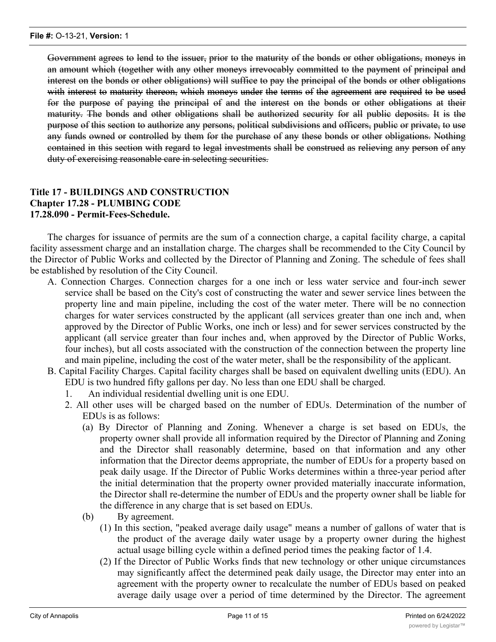Government agrees to lend to the issuer, prior to the maturity of the bonds or other obligations, moneys in an amount which (together with any other moneys irrevocably committed to the payment of principal and interest on the bonds or other obligations) will suffice to pay the principal of the bonds or other obligations with interest to maturity thereon, which moneys under the terms of the agreement are required to be used for the purpose of paying the principal of and the interest on the bonds or other obligations at their maturity. The bonds and other obligations shall be authorized security for all public deposits. It is the purpose of this section to authorize any persons, political subdivisions and officers, public or private, to use any funds owned or controlled by them for the purchase of any these bonds or other obligations. Nothing contained in this section with regard to legal investments shall be construed as relieving any person of any duty of exercising reasonable care in selecting securities.

### **Title 17 - BUILDINGS AND CONSTRUCTION Chapter 17.28 - PLUMBING CODE 17.28.090 - Permit-Fees-Schedule.**

The charges for issuance of permits are the sum of a connection charge, a capital facility charge, a capital facility assessment charge and an installation charge. The charges shall be recommended to the City Council by the Director of Public Works and collected by the Director of Planning and Zoning. The schedule of fees shall be established by resolution of the City Council.

- A. Connection Charges. Connection charges for a one inch or less water service and four-inch sewer service shall be based on the City's cost of constructing the water and sewer service lines between the property line and main pipeline, including the cost of the water meter. There will be no connection charges for water services constructed by the applicant (all services greater than one inch and, when approved by the Director of Public Works, one inch or less) and for sewer services constructed by the applicant (all service greater than four inches and, when approved by the Director of Public Works, four inches), but all costs associated with the construction of the connection between the property line and main pipeline, including the cost of the water meter, shall be the responsibility of the applicant.
- B. Capital Facility Charges. Capital facility charges shall be based on equivalent dwelling units (EDU). An EDU is two hundred fifty gallons per day. No less than one EDU shall be charged.
	- 1. An individual residential dwelling unit is one EDU.
	- 2. All other uses will be charged based on the number of EDUs. Determination of the number of EDUs is as follows:
		- (a) By Director of Planning and Zoning. Whenever a charge is set based on EDUs, the property owner shall provide all information required by the Director of Planning and Zoning and the Director shall reasonably determine, based on that information and any other information that the Director deems appropriate, the number of EDUs for a property based on peak daily usage. If the Director of Public Works determines within a three-year period after the initial determination that the property owner provided materially inaccurate information, the Director shall re-determine the number of EDUs and the property owner shall be liable for the difference in any charge that is set based on EDUs.
		- (b) By agreement.
			- (1) In this section, "peaked average daily usage" means a number of gallons of water that is the product of the average daily water usage by a property owner during the highest actual usage billing cycle within a defined period times the peaking factor of 1.4.
			- (2) If the Director of Public Works finds that new technology or other unique circumstances may significantly affect the determined peak daily usage, the Director may enter into an agreement with the property owner to recalculate the number of EDUs based on peaked average daily usage over a period of time determined by the Director. The agreement

shall provide for refund of charges by the City if peaked average daily usage is less than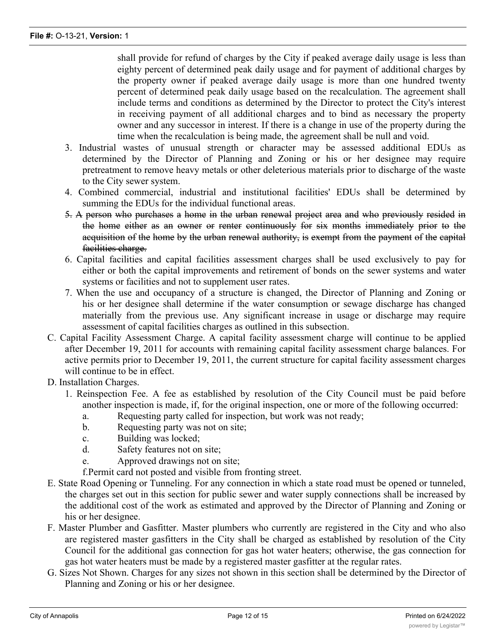shall provide for refund of charges by the City if peaked average daily usage is less than eighty percent of determined peak daily usage and for payment of additional charges by the property owner if peaked average daily usage is more than one hundred twenty percent of determined peak daily usage based on the recalculation. The agreement shall include terms and conditions as determined by the Director to protect the City's interest in receiving payment of all additional charges and to bind as necessary the property owner and any successor in interest. If there is a change in use of the property during the time when the recalculation is being made, the agreement shall be null and void.

- 3. Industrial wastes of unusual strength or character may be assessed additional EDUs as determined by the Director of Planning and Zoning or his or her designee may require pretreatment to remove heavy metals or other deleterious materials prior to discharge of the waste to the City sewer system.
- 4. Combined commercial, industrial and institutional facilities' EDUs shall be determined by summing the EDUs for the individual functional areas.
- 5. A person who purchases a home in the urban renewal project area and who previously resided in the home either as an owner or renter continuously for six months immediately prior to the acquisition of the home by the urban renewal authority, is exempt from the payment of the capital facilities charge.
- 6. Capital facilities and capital facilities assessment charges shall be used exclusively to pay for either or both the capital improvements and retirement of bonds on the sewer systems and water systems or facilities and not to supplement user rates.
- 7. When the use and occupancy of a structure is changed, the Director of Planning and Zoning or his or her designee shall determine if the water consumption or sewage discharge has changed materially from the previous use. Any significant increase in usage or discharge may require assessment of capital facilities charges as outlined in this subsection.
- C. Capital Facility Assessment Charge. A capital facility assessment charge will continue to be applied after December 19, 2011 for accounts with remaining capital facility assessment charge balances. For active permits prior to December 19, 2011, the current structure for capital facility assessment charges will continue to be in effect.
- D. Installation Charges.
	- 1. Reinspection Fee. A fee as established by resolution of the City Council must be paid before another inspection is made, if, for the original inspection, one or more of the following occurred:
		- a. Requesting party called for inspection, but work was not ready;
		- b. Requesting party was not on site;
		- c. Building was locked;
		- d. Safety features not on site;
		- e. Approved drawings not on site;

f.Permit card not posted and visible from fronting street.

- E. State Road Opening or Tunneling. For any connection in which a state road must be opened or tunneled, the charges set out in this section for public sewer and water supply connections shall be increased by the additional cost of the work as estimated and approved by the Director of Planning and Zoning or his or her designee.
- F. Master Plumber and Gasfitter. Master plumbers who currently are registered in the City and who also are registered master gasfitters in the City shall be charged as established by resolution of the City Council for the additional gas connection for gas hot water heaters; otherwise, the gas connection for gas hot water heaters must be made by a registered master gasfitter at the regular rates.
- G. Sizes Not Shown. Charges for any sizes not shown in this section shall be determined by the Director of Planning and Zoning or his or her designee.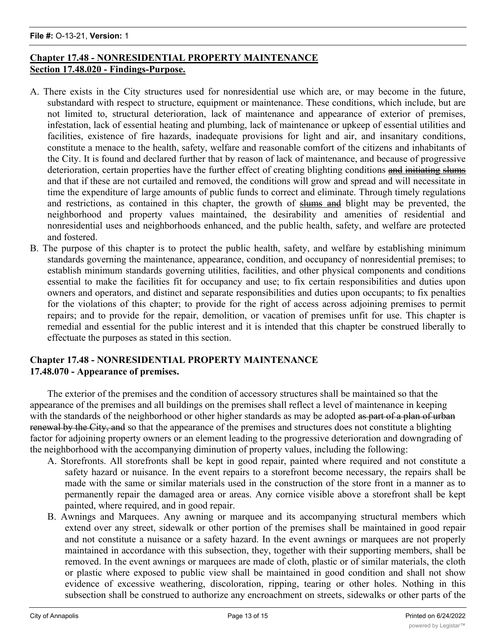### **Chapter 17.48 - NONRESIDENTIAL PROPERTY MAINTENANCE Section 17.48.020 - Findings-Purpose.**

- A. There exists in the City structures used for nonresidential use which are, or may become in the future, substandard with respect to structure, equipment or maintenance. These conditions, which include, but are not limited to, structural deterioration, lack of maintenance and appearance of exterior of premises, infestation, lack of essential heating and plumbing, lack of maintenance or upkeep of essential utilities and facilities, existence of fire hazards, inadequate provisions for light and air, and insanitary conditions, constitute a menace to the health, safety, welfare and reasonable comfort of the citizens and inhabitants of the City. It is found and declared further that by reason of lack of maintenance, and because of progressive deterioration, certain properties have the further effect of creating blighting conditions and initiating slums and that if these are not curtailed and removed, the conditions will grow and spread and will necessitate in time the expenditure of large amounts of public funds to correct and eliminate. Through timely regulations and restrictions, as contained in this chapter, the growth of slums and blight may be prevented, the neighborhood and property values maintained, the desirability and amenities of residential and nonresidential uses and neighborhoods enhanced, and the public health, safety, and welfare are protected and fostered.
- B. The purpose of this chapter is to protect the public health, safety, and welfare by establishing minimum standards governing the maintenance, appearance, condition, and occupancy of nonresidential premises; to establish minimum standards governing utilities, facilities, and other physical components and conditions essential to make the facilities fit for occupancy and use; to fix certain responsibilities and duties upon owners and operators, and distinct and separate responsibilities and duties upon occupants; to fix penalties for the violations of this chapter; to provide for the right of access across adjoining premises to permit repairs; and to provide for the repair, demolition, or vacation of premises unfit for use. This chapter is remedial and essential for the public interest and it is intended that this chapter be construed liberally to effectuate the purposes as stated in this section.

### **Chapter 17.48 - NONRESIDENTIAL PROPERTY MAINTENANCE 17.48.070 - Appearance of premises.**

The exterior of the premises and the condition of accessory structures shall be maintained so that the appearance of the premises and all buildings on the premises shall reflect a level of maintenance in keeping with the standards of the neighborhood or other higher standards as may be adopted as part of a plan of urban renewal by the City, and so that the appearance of the premises and structures does not constitute a blighting factor for adjoining property owners or an element leading to the progressive deterioration and downgrading of the neighborhood with the accompanying diminution of property values, including the following:

- A. Storefronts. All storefronts shall be kept in good repair, painted where required and not constitute a safety hazard or nuisance. In the event repairs to a storefront become necessary, the repairs shall be made with the same or similar materials used in the construction of the store front in a manner as to permanently repair the damaged area or areas. Any cornice visible above a storefront shall be kept painted, where required, and in good repair.
- B. Awnings and Marquees. Any awning or marquee and its accompanying structural members which extend over any street, sidewalk or other portion of the premises shall be maintained in good repair and not constitute a nuisance or a safety hazard. In the event awnings or marquees are not properly maintained in accordance with this subsection, they, together with their supporting members, shall be removed. In the event awnings or marquees are made of cloth, plastic or of similar materials, the cloth or plastic where exposed to public view shall be maintained in good condition and shall not show evidence of excessive weathering, discoloration, ripping, tearing or other holes. Nothing in this subsection shall be construed to authorize any encroachment on streets, sidewalks or other parts of the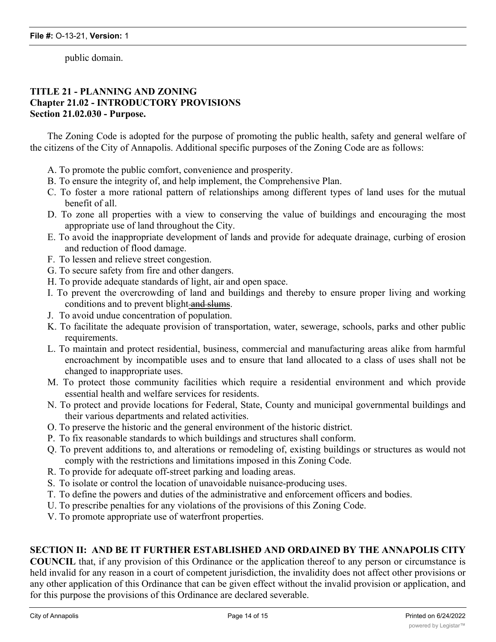public domain.

### **TITLE 21 - PLANNING AND ZONING Chapter 21.02 - INTRODUCTORY PROVISIONS Section 21.02.030 - Purpose.**

The Zoning Code is adopted for the purpose of promoting the public health, safety and general welfare of the citizens of the City of Annapolis. Additional specific purposes of the Zoning Code are as follows:

- A. To promote the public comfort, convenience and prosperity.
- B. To ensure the integrity of, and help implement, the Comprehensive Plan.
- C. To foster a more rational pattern of relationships among different types of land uses for the mutual benefit of all.
- D. To zone all properties with a view to conserving the value of buildings and encouraging the most appropriate use of land throughout the City.
- E. To avoid the inappropriate development of lands and provide for adequate drainage, curbing of erosion and reduction of flood damage.
- F. To lessen and relieve street congestion.
- G. To secure safety from fire and other dangers.
- H. To provide adequate standards of light, air and open space.
- I. To prevent the overcrowding of land and buildings and thereby to ensure proper living and working conditions and to prevent blight-and slums.
- J. To avoid undue concentration of population.
- K. To facilitate the adequate provision of transportation, water, sewerage, schools, parks and other public requirements.
- L. To maintain and protect residential, business, commercial and manufacturing areas alike from harmful encroachment by incompatible uses and to ensure that land allocated to a class of uses shall not be changed to inappropriate uses.
- M. To protect those community facilities which require a residential environment and which provide essential health and welfare services for residents.
- N. To protect and provide locations for Federal, State, County and municipal governmental buildings and their various departments and related activities.
- O. To preserve the historic and the general environment of the historic district.
- P. To fix reasonable standards to which buildings and structures shall conform.
- Q. To prevent additions to, and alterations or remodeling of, existing buildings or structures as would not comply with the restrictions and limitations imposed in this Zoning Code.
- R. To provide for adequate off-street parking and loading areas.
- S. To isolate or control the location of unavoidable nuisance-producing uses.
- T. To define the powers and duties of the administrative and enforcement officers and bodies.
- U. To prescribe penalties for any violations of the provisions of this Zoning Code.
- V. To promote appropriate use of waterfront properties.

### **SECTION II: AND BE IT FURTHER ESTABLISHED AND ORDAINED BY THE ANNAPOLIS CITY**

**COUNCIL** that, if any provision of this Ordinance or the application thereof to any person or circumstance is held invalid for any reason in a court of competent jurisdiction, the invalidity does not affect other provisions or any other application of this Ordinance that can be given effect without the invalid provision or application, and for this purpose the provisions of this Ordinance are declared severable.